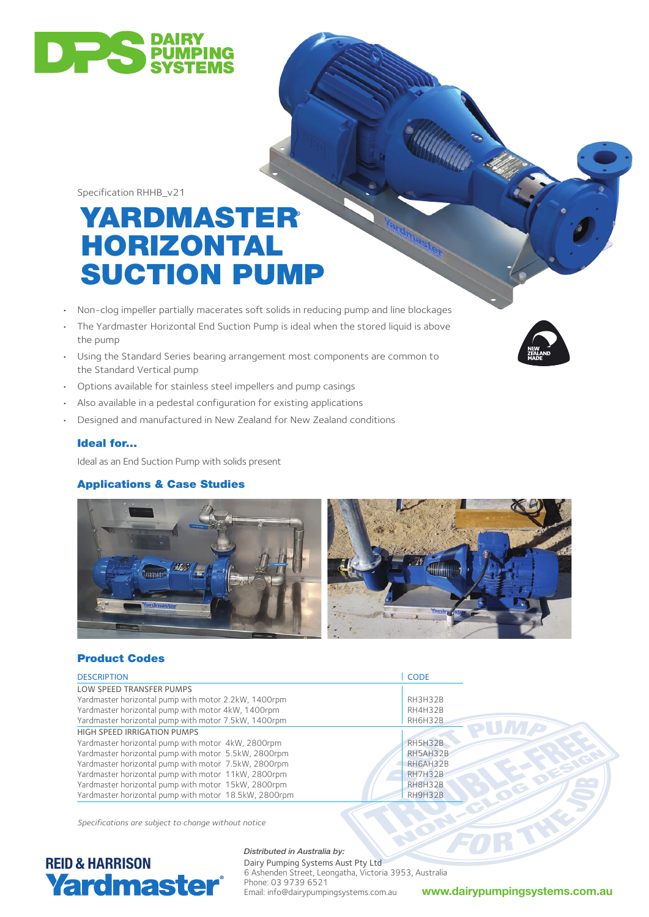

Specification RHHB\_v21

# YARDMASTER HORIZONTAL SUCTION PUMP

- Non-clog impeller partially macerates soft solids in reducing pump and line blockages
- The Yardmaster Horizontal End Suction Pump is ideal when the stored liquid is above the pump
- Using the Standard Series bearing arrangement most components are common to the Standard Vertical pump
- Options available for stainless steel impellers and pump casings
- Also available in a pedestal configuration for existing applications
- Designed and manufactured in New Zealand for New Zealand conditions

### Ideal for...

Ideal as an End Suction Pump with solids present

#### Applications & Case Studies



### Product Codes

| <b>DESCRIPTION</b>                                    | <b>CODE</b>    |
|-------------------------------------------------------|----------------|
| LOW SPEED TRANSFER PUMPS                              |                |
| Yardmaster horizontal pump with motor 2.2kW, 1400rpm  | RH3H32B        |
| Yardmaster horizontal pump with motor 4kW, 1400rpm    | RH4H32B        |
| Yardmaster horizontal pump with motor 7.5kW, 1400rpm  | <b>RH6H32B</b> |
| HIGH SPEED IRRIGATION PUMPS                           |                |
| Yardmaster horizontal pump with motor 4kW, 2800rpm    | <b>RH5H32B</b> |
| Yardmaster horizontal pump with motor 5.5kW, 2800rpm  | RH5AH32B       |
| Yardmaster horizontal pump with motor 7.5kW, 2800rpm  | RH6AH32B       |
| Yardmaster horizontal pump with motor 11kW, 2800rpm   | <b>RH7H32B</b> |
| Yardmaster horizontal pump with motor 15kW, 2800rpm   | RH8H32B        |
| Yardmaster horizontal pump with motor 18.5kW, 2800rpm | RH9H32B        |

*Specifications are subject to change without notice*



#### *Distributed in Australia by:*

Dairy Pumping Systems Aust Pty Ltd 6 Ashenden Street, Leongatha, Victoria 3953, Australia Phone: 03 9739 6521<br>Email: info@dairypumpingsystems.com.au

Email: info@dairypumpingsystems.com.au **www.dairypumpingsystems.com.au**

**ANTINER**